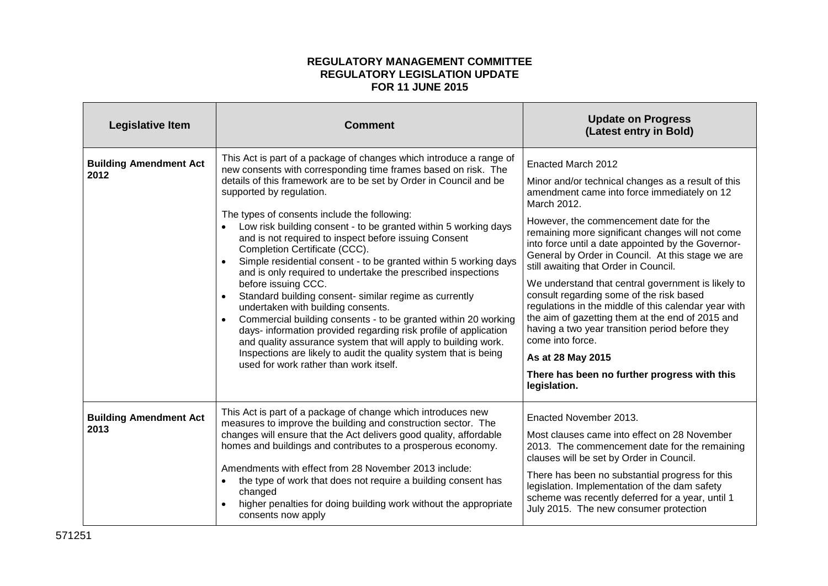## **REGULATORY MANAGEMENT COMMITTEE REGULATORY LEGISLATION UPDATE FOR 11 JUNE 2015**

| <b>Legislative Item</b>               | <b>Comment</b>                                                                                                                                                                                                                                                                                                                                                                                                                                                                                                                                                                                                                                                                                                                                                                                                                                                                                                                                                                                                                                     | <b>Update on Progress</b><br>(Latest entry in Bold)                                                                                                                                                                                                                                                                                                                                                                                                                                                                                                                                                                                                                                                                                                                |
|---------------------------------------|----------------------------------------------------------------------------------------------------------------------------------------------------------------------------------------------------------------------------------------------------------------------------------------------------------------------------------------------------------------------------------------------------------------------------------------------------------------------------------------------------------------------------------------------------------------------------------------------------------------------------------------------------------------------------------------------------------------------------------------------------------------------------------------------------------------------------------------------------------------------------------------------------------------------------------------------------------------------------------------------------------------------------------------------------|--------------------------------------------------------------------------------------------------------------------------------------------------------------------------------------------------------------------------------------------------------------------------------------------------------------------------------------------------------------------------------------------------------------------------------------------------------------------------------------------------------------------------------------------------------------------------------------------------------------------------------------------------------------------------------------------------------------------------------------------------------------------|
| <b>Building Amendment Act</b><br>2012 | This Act is part of a package of changes which introduce a range of<br>new consents with corresponding time frames based on risk. The<br>details of this framework are to be set by Order in Council and be<br>supported by regulation.<br>The types of consents include the following:<br>Low risk building consent - to be granted within 5 working days<br>and is not required to inspect before issuing Consent<br>Completion Certificate (CCC).<br>Simple residential consent - to be granted within 5 working days<br>and is only required to undertake the prescribed inspections<br>before issuing CCC.<br>Standard building consent- similar regime as currently<br>undertaken with building consents.<br>Commercial building consents - to be granted within 20 working<br>$\bullet$<br>days- information provided regarding risk profile of application<br>and quality assurance system that will apply to building work.<br>Inspections are likely to audit the quality system that is being<br>used for work rather than work itself. | Enacted March 2012<br>Minor and/or technical changes as a result of this<br>amendment came into force immediately on 12<br>March 2012.<br>However, the commencement date for the<br>remaining more significant changes will not come<br>into force until a date appointed by the Governor-<br>General by Order in Council. At this stage we are<br>still awaiting that Order in Council.<br>We understand that central government is likely to<br>consult regarding some of the risk based<br>regulations in the middle of this calendar year with<br>the aim of gazetting them at the end of 2015 and<br>having a two year transition period before they<br>come into force.<br>As at 28 May 2015<br>There has been no further progress with this<br>legislation. |
| <b>Building Amendment Act</b><br>2013 | This Act is part of a package of change which introduces new<br>measures to improve the building and construction sector. The<br>changes will ensure that the Act delivers good quality, affordable<br>homes and buildings and contributes to a prosperous economy.<br>Amendments with effect from 28 November 2013 include:<br>the type of work that does not require a building consent has<br>changed<br>higher penalties for doing building work without the appropriate<br>consents now apply                                                                                                                                                                                                                                                                                                                                                                                                                                                                                                                                                 | Enacted November 2013.<br>Most clauses came into effect on 28 November<br>2013. The commencement date for the remaining<br>clauses will be set by Order in Council.<br>There has been no substantial progress for this<br>legislation. Implementation of the dam safety<br>scheme was recently deferred for a year, until 1<br>July 2015. The new consumer protection                                                                                                                                                                                                                                                                                                                                                                                              |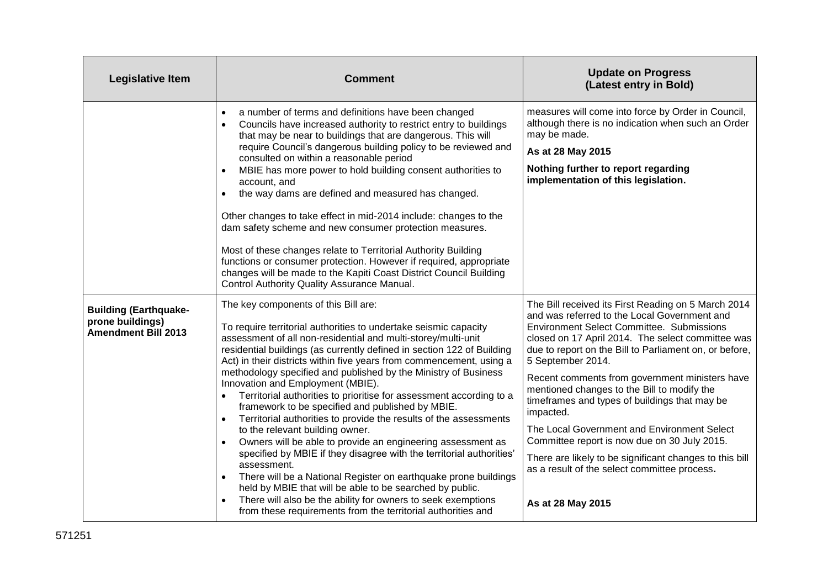| <b>Legislative Item</b>                                                        | <b>Comment</b>                                                                                                                                                                                                                                                                                                                                                                                                                                                                                                                                                                                                                                                                                                                                                                                                                                                                                                                                                                                                                                                                                                                                               | <b>Update on Progress</b><br>(Latest entry in Bold)                                                                                                                                                                                                                                                                                                                                                                                                                                                                                                                                                                                                                                       |
|--------------------------------------------------------------------------------|--------------------------------------------------------------------------------------------------------------------------------------------------------------------------------------------------------------------------------------------------------------------------------------------------------------------------------------------------------------------------------------------------------------------------------------------------------------------------------------------------------------------------------------------------------------------------------------------------------------------------------------------------------------------------------------------------------------------------------------------------------------------------------------------------------------------------------------------------------------------------------------------------------------------------------------------------------------------------------------------------------------------------------------------------------------------------------------------------------------------------------------------------------------|-------------------------------------------------------------------------------------------------------------------------------------------------------------------------------------------------------------------------------------------------------------------------------------------------------------------------------------------------------------------------------------------------------------------------------------------------------------------------------------------------------------------------------------------------------------------------------------------------------------------------------------------------------------------------------------------|
|                                                                                | a number of terms and definitions have been changed<br>$\bullet$<br>Councils have increased authority to restrict entry to buildings<br>$\bullet$<br>that may be near to buildings that are dangerous. This will<br>require Council's dangerous building policy to be reviewed and<br>consulted on within a reasonable period<br>MBIE has more power to hold building consent authorities to<br>$\bullet$<br>account, and<br>the way dams are defined and measured has changed.<br>$\bullet$<br>Other changes to take effect in mid-2014 include: changes to the<br>dam safety scheme and new consumer protection measures.<br>Most of these changes relate to Territorial Authority Building<br>functions or consumer protection. However if required, appropriate<br>changes will be made to the Kapiti Coast District Council Building<br>Control Authority Quality Assurance Manual.                                                                                                                                                                                                                                                                     | measures will come into force by Order in Council,<br>although there is no indication when such an Order<br>may be made.<br>As at 28 May 2015<br>Nothing further to report regarding<br>implementation of this legislation.                                                                                                                                                                                                                                                                                                                                                                                                                                                               |
| <b>Building (Earthquake-</b><br>prone buildings)<br><b>Amendment Bill 2013</b> | The key components of this Bill are:<br>To require territorial authorities to undertake seismic capacity<br>assessment of all non-residential and multi-storey/multi-unit<br>residential buildings (as currently defined in section 122 of Building<br>Act) in their districts within five years from commencement, using a<br>methodology specified and published by the Ministry of Business<br>Innovation and Employment (MBIE).<br>Territorial authorities to prioritise for assessment according to a<br>$\bullet$<br>framework to be specified and published by MBIE.<br>Territorial authorities to provide the results of the assessments<br>$\bullet$<br>to the relevant building owner.<br>Owners will be able to provide an engineering assessment as<br>$\bullet$<br>specified by MBIE if they disagree with the territorial authorities'<br>assessment.<br>There will be a National Register on earthquake prone buildings<br>$\bullet$<br>held by MBIE that will be able to be searched by public.<br>There will also be the ability for owners to seek exemptions<br>$\bullet$<br>from these requirements from the territorial authorities and | The Bill received its First Reading on 5 March 2014<br>and was referred to the Local Government and<br><b>Environment Select Committee. Submissions</b><br>closed on 17 April 2014. The select committee was<br>due to report on the Bill to Parliament on, or before,<br>5 September 2014.<br>Recent comments from government ministers have<br>mentioned changes to the Bill to modify the<br>timeframes and types of buildings that may be<br>impacted.<br>The Local Government and Environment Select<br>Committee report is now due on 30 July 2015.<br>There are likely to be significant changes to this bill<br>as a result of the select committee process.<br>As at 28 May 2015 |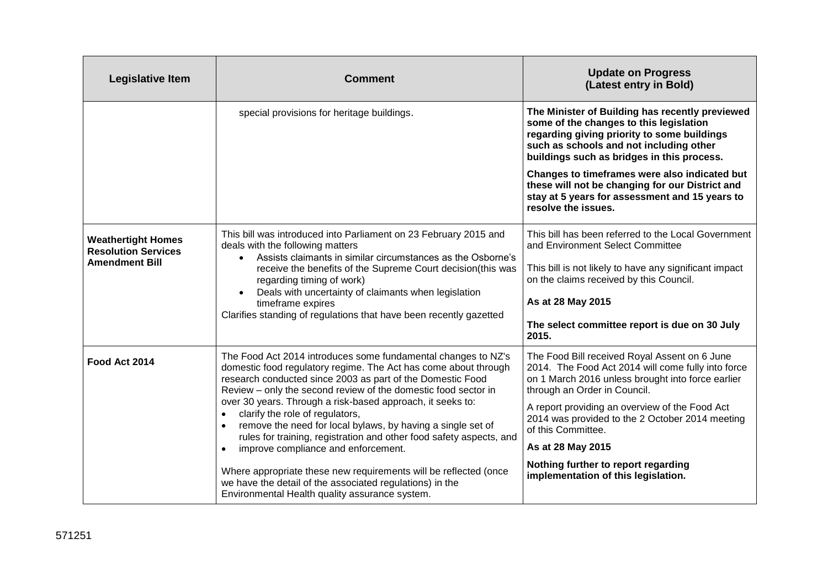| <b>Legislative Item</b>                                                          | <b>Comment</b>                                                                                                                                                                                                                                                                                                                                                                                                                                                                                                                                                                                                                                                                                                                                                          | <b>Update on Progress</b><br>(Latest entry in Bold)                                                                                                                                                                                                                                                                                                                                                                    |
|----------------------------------------------------------------------------------|-------------------------------------------------------------------------------------------------------------------------------------------------------------------------------------------------------------------------------------------------------------------------------------------------------------------------------------------------------------------------------------------------------------------------------------------------------------------------------------------------------------------------------------------------------------------------------------------------------------------------------------------------------------------------------------------------------------------------------------------------------------------------|------------------------------------------------------------------------------------------------------------------------------------------------------------------------------------------------------------------------------------------------------------------------------------------------------------------------------------------------------------------------------------------------------------------------|
|                                                                                  | special provisions for heritage buildings.                                                                                                                                                                                                                                                                                                                                                                                                                                                                                                                                                                                                                                                                                                                              | The Minister of Building has recently previewed<br>some of the changes to this legislation<br>regarding giving priority to some buildings<br>such as schools and not including other<br>buildings such as bridges in this process.                                                                                                                                                                                     |
|                                                                                  |                                                                                                                                                                                                                                                                                                                                                                                                                                                                                                                                                                                                                                                                                                                                                                         | Changes to timeframes were also indicated but<br>these will not be changing for our District and<br>stay at 5 years for assessment and 15 years to<br>resolve the issues.                                                                                                                                                                                                                                              |
| <b>Weathertight Homes</b><br><b>Resolution Services</b><br><b>Amendment Bill</b> | This bill was introduced into Parliament on 23 February 2015 and<br>deals with the following matters<br>Assists claimants in similar circumstances as the Osborne's<br>$\bullet$<br>receive the benefits of the Supreme Court decision(this was<br>regarding timing of work)<br>Deals with uncertainty of claimants when legislation<br>timeframe expires<br>Clarifies standing of regulations that have been recently gazetted                                                                                                                                                                                                                                                                                                                                         | This bill has been referred to the Local Government<br>and Environment Select Committee<br>This bill is not likely to have any significant impact<br>on the claims received by this Council.<br>As at 28 May 2015<br>The select committee report is due on 30 July<br>2015.                                                                                                                                            |
| Food Act 2014                                                                    | The Food Act 2014 introduces some fundamental changes to NZ's<br>domestic food regulatory regime. The Act has come about through<br>research conducted since 2003 as part of the Domestic Food<br>Review - only the second review of the domestic food sector in<br>over 30 years. Through a risk-based approach, it seeks to:<br>clarify the role of regulators,<br>$\bullet$<br>remove the need for local bylaws, by having a single set of<br>$\bullet$<br>rules for training, registration and other food safety aspects, and<br>improve compliance and enforcement.<br>$\bullet$<br>Where appropriate these new requirements will be reflected (once<br>we have the detail of the associated regulations) in the<br>Environmental Health quality assurance system. | The Food Bill received Royal Assent on 6 June<br>2014. The Food Act 2014 will come fully into force<br>on 1 March 2016 unless brought into force earlier<br>through an Order in Council.<br>A report providing an overview of the Food Act<br>2014 was provided to the 2 October 2014 meeting<br>of this Committee.<br>As at 28 May 2015<br>Nothing further to report regarding<br>implementation of this legislation. |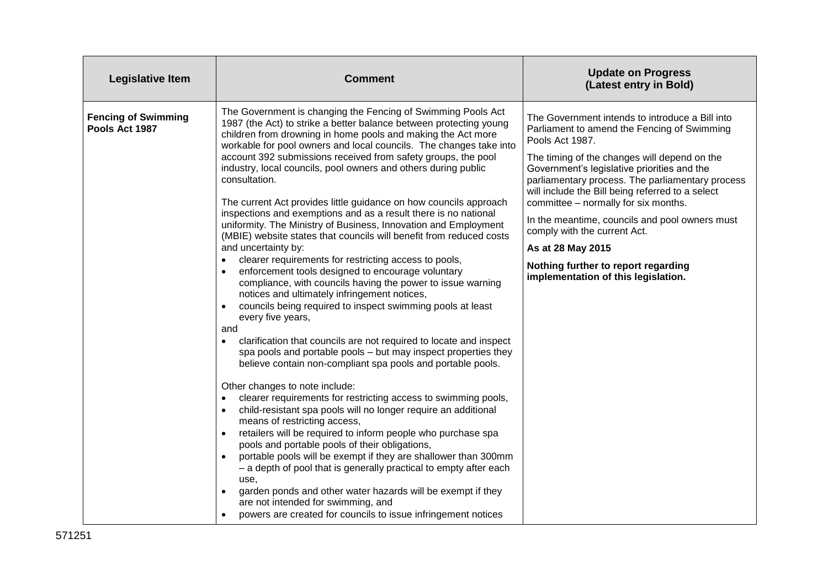| <b>Legislative Item</b>                      | <b>Comment</b>                                                                                                                                                                                                                                                                                                                                                                                                                                                                                                                                                                                                                                                                                                                                                                                                                                                                                                                                                                                                                                                                                                                                                                                                                                                                                                                                                                                                                                                                                                                                                                                                                                                                                                                                                                                                                                                                                                                                                                    | <b>Update on Progress</b><br>(Latest entry in Bold)                                                                                                                                                                                                                                                                                                                                                                                                                                                                                                   |
|----------------------------------------------|-----------------------------------------------------------------------------------------------------------------------------------------------------------------------------------------------------------------------------------------------------------------------------------------------------------------------------------------------------------------------------------------------------------------------------------------------------------------------------------------------------------------------------------------------------------------------------------------------------------------------------------------------------------------------------------------------------------------------------------------------------------------------------------------------------------------------------------------------------------------------------------------------------------------------------------------------------------------------------------------------------------------------------------------------------------------------------------------------------------------------------------------------------------------------------------------------------------------------------------------------------------------------------------------------------------------------------------------------------------------------------------------------------------------------------------------------------------------------------------------------------------------------------------------------------------------------------------------------------------------------------------------------------------------------------------------------------------------------------------------------------------------------------------------------------------------------------------------------------------------------------------------------------------------------------------------------------------------------------------|-------------------------------------------------------------------------------------------------------------------------------------------------------------------------------------------------------------------------------------------------------------------------------------------------------------------------------------------------------------------------------------------------------------------------------------------------------------------------------------------------------------------------------------------------------|
| <b>Fencing of Swimming</b><br>Pools Act 1987 | The Government is changing the Fencing of Swimming Pools Act<br>1987 (the Act) to strike a better balance between protecting young<br>children from drowning in home pools and making the Act more<br>workable for pool owners and local councils. The changes take into<br>account 392 submissions received from safety groups, the pool<br>industry, local councils, pool owners and others during public<br>consultation.<br>The current Act provides little guidance on how councils approach<br>inspections and exemptions and as a result there is no national<br>uniformity. The Ministry of Business, Innovation and Employment<br>(MBIE) website states that councils will benefit from reduced costs<br>and uncertainty by:<br>clearer requirements for restricting access to pools,<br>enforcement tools designed to encourage voluntary<br>$\bullet$<br>compliance, with councils having the power to issue warning<br>notices and ultimately infringement notices,<br>councils being required to inspect swimming pools at least<br>every five years,<br>and<br>clarification that councils are not required to locate and inspect<br>$\bullet$<br>spa pools and portable pools - but may inspect properties they<br>believe contain non-compliant spa pools and portable pools.<br>Other changes to note include:<br>clearer requirements for restricting access to swimming pools,<br>$\bullet$<br>child-resistant spa pools will no longer require an additional<br>$\bullet$<br>means of restricting access,<br>retailers will be required to inform people who purchase spa<br>pools and portable pools of their obligations,<br>portable pools will be exempt if they are shallower than 300mm<br>- a depth of pool that is generally practical to empty after each<br>use,<br>garden ponds and other water hazards will be exempt if they<br>$\bullet$<br>are not intended for swimming, and<br>powers are created for councils to issue infringement notices | The Government intends to introduce a Bill into<br>Parliament to amend the Fencing of Swimming<br>Pools Act 1987.<br>The timing of the changes will depend on the<br>Government's legislative priorities and the<br>parliamentary process. The parliamentary process<br>will include the Bill being referred to a select<br>committee - normally for six months.<br>In the meantime, councils and pool owners must<br>comply with the current Act.<br>As at 28 May 2015<br>Nothing further to report regarding<br>implementation of this legislation. |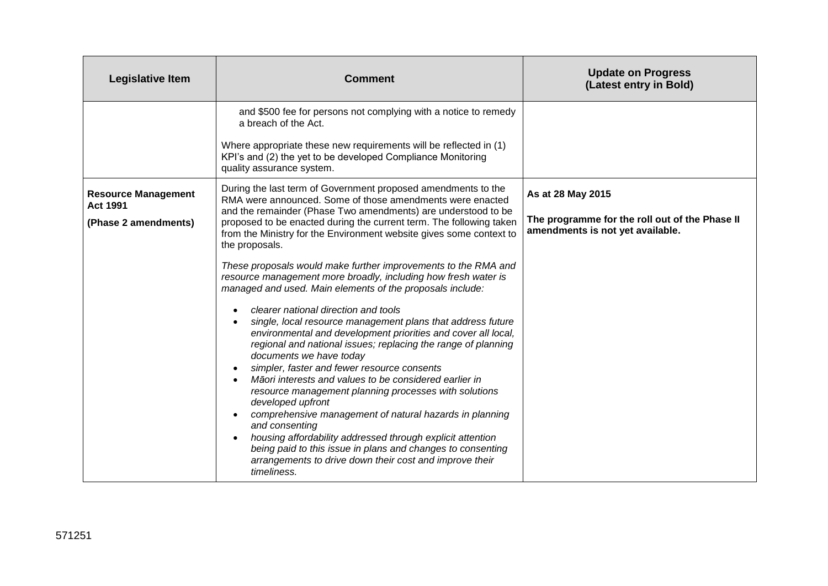| <b>Legislative Item</b>                                               | <b>Comment</b>                                                                                                                                                                                                                                                                                                                                                                                                                                                                                                                                                                                                                                                                                                                                                                                                                                                                                                                                                                                                                                                                                                                                                                                                                                                                                              | <b>Update on Progress</b><br>(Latest entry in Bold)                                                     |
|-----------------------------------------------------------------------|-------------------------------------------------------------------------------------------------------------------------------------------------------------------------------------------------------------------------------------------------------------------------------------------------------------------------------------------------------------------------------------------------------------------------------------------------------------------------------------------------------------------------------------------------------------------------------------------------------------------------------------------------------------------------------------------------------------------------------------------------------------------------------------------------------------------------------------------------------------------------------------------------------------------------------------------------------------------------------------------------------------------------------------------------------------------------------------------------------------------------------------------------------------------------------------------------------------------------------------------------------------------------------------------------------------|---------------------------------------------------------------------------------------------------------|
|                                                                       | and \$500 fee for persons not complying with a notice to remedy<br>a breach of the Act.<br>Where appropriate these new requirements will be reflected in (1)<br>KPI's and (2) the yet to be developed Compliance Monitoring<br>quality assurance system.                                                                                                                                                                                                                                                                                                                                                                                                                                                                                                                                                                                                                                                                                                                                                                                                                                                                                                                                                                                                                                                    |                                                                                                         |
| <b>Resource Management</b><br><b>Act 1991</b><br>(Phase 2 amendments) | During the last term of Government proposed amendments to the<br>RMA were announced. Some of those amendments were enacted<br>and the remainder (Phase Two amendments) are understood to be<br>proposed to be enacted during the current term. The following taken<br>from the Ministry for the Environment website gives some context to<br>the proposals.<br>These proposals would make further improvements to the RMA and<br>resource management more broadly, including how fresh water is<br>managed and used. Main elements of the proposals include:<br>clearer national direction and tools<br>single, local resource management plans that address future<br>environmental and development priorities and cover all local,<br>regional and national issues; replacing the range of planning<br>documents we have today<br>simpler, faster and fewer resource consents<br>Māori interests and values to be considered earlier in<br>resource management planning processes with solutions<br>developed upfront<br>comprehensive management of natural hazards in planning<br>and consenting<br>housing affordability addressed through explicit attention<br>being paid to this issue in plans and changes to consenting<br>arrangements to drive down their cost and improve their<br>timeliness. | As at 28 May 2015<br>The programme for the roll out of the Phase II<br>amendments is not yet available. |